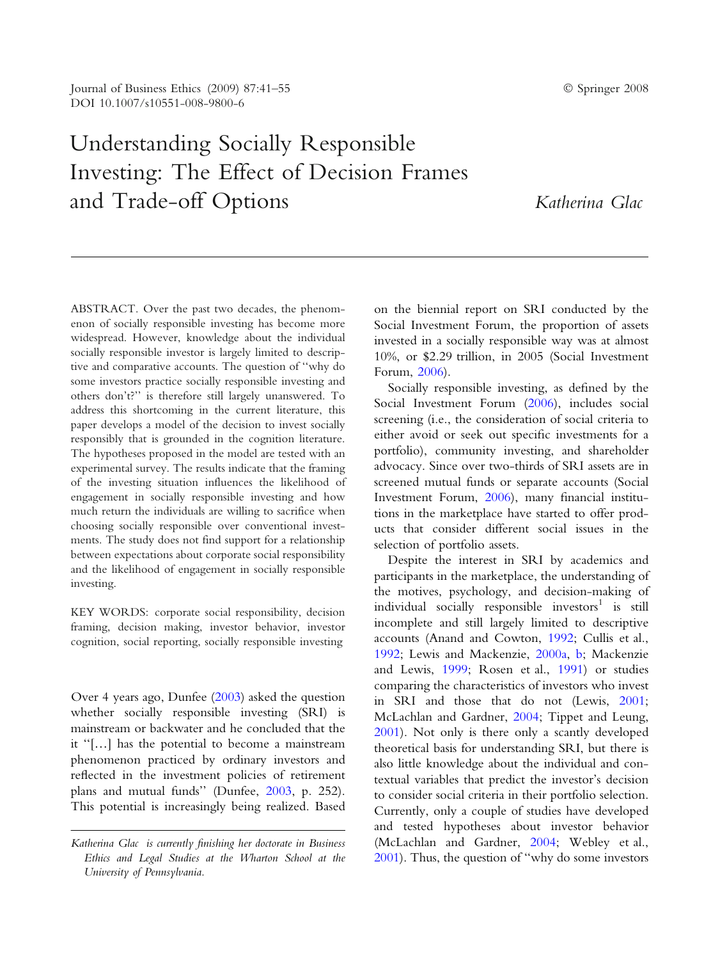Journal of Business Ethics (2009) 87:41–55 Springer 2008 DOI 10.1007/s10551-008-9800-6

and Trade-off Options Katherina Glac

ABSTRACT. Over the past two decades, the phenomenon of socially responsible investing has become more widespread. However, knowledge about the individual socially responsible investor is largely limited to descriptive and comparative accounts. The question of ''why do some investors practice socially responsible investing and others don't?'' is therefore still largely unanswered. To address this shortcoming in the current literature, this paper develops a model of the decision to invest socially responsibly that is grounded in the cognition literature. The hypotheses proposed in the model are tested with an experimental survey. The results indicate that the framing of the investing situation influences the likelihood of engagement in socially responsible investing and how much return the individuals are willing to sacrifice when choosing socially responsible over conventional investments. The study does not find support for a relationship between expectations about corporate social responsibility and the likelihood of engagement in socially responsible investing.

KEY WORDS: corporate social responsibility, decision framing, decision making, investor behavior, investor cognition, social reporting, socially responsible investing

Over 4 years ago, Dunfee (2003) asked the question whether socially responsible investing (SRI) is mainstream or backwater and he concluded that the it ''[…] has the potential to become a mainstream phenomenon practiced by ordinary investors and reflected in the investment policies of retirement plans and mutual funds'' (Dunfee, 2003, p. 252). This potential is increasingly being realized. Based on the biennial report on SRI conducted by the Social Investment Forum, the proportion of assets invested in a socially responsible way was at almost 10%, or \$2.29 trillion, in 2005 (Social Investment Forum, 2006).

Socially responsible investing, as defined by the Social Investment Forum (2006), includes social screening (i.e., the consideration of social criteria to either avoid or seek out specific investments for a portfolio), community investing, and shareholder advocacy. Since over two-thirds of SRI assets are in screened mutual funds or separate accounts (Social Investment Forum, 2006), many financial institutions in the marketplace have started to offer products that consider different social issues in the selection of portfolio assets.

Despite the interest in SRI by academics and participants in the marketplace, the understanding of the motives, psychology, and decision-making of individual socially responsible investors<sup>1</sup> is still incomplete and still largely limited to descriptive accounts (Anand and Cowton, 1992; Cullis et al., 1992; Lewis and Mackenzie, 2000a, b; Mackenzie and Lewis, 1999; Rosen et al., 1991) or studies comparing the characteristics of investors who invest in SRI and those that do not (Lewis, 2001; McLachlan and Gardner, 2004; Tippet and Leung, 2001). Not only is there only a scantly developed theoretical basis for understanding SRI, but there is also little knowledge about the individual and contextual variables that predict the investor's decision to consider social criteria in their portfolio selection. Currently, only a couple of studies have developed and tested hypotheses about investor behavior (McLachlan and Gardner, 2004; Webley et al., 2001). Thus, the question of ''why do some investors

Katherina Glac is currently finishing her doctorate in Business Ethics and Legal Studies at the Wharton School at the University of Pennsylvania.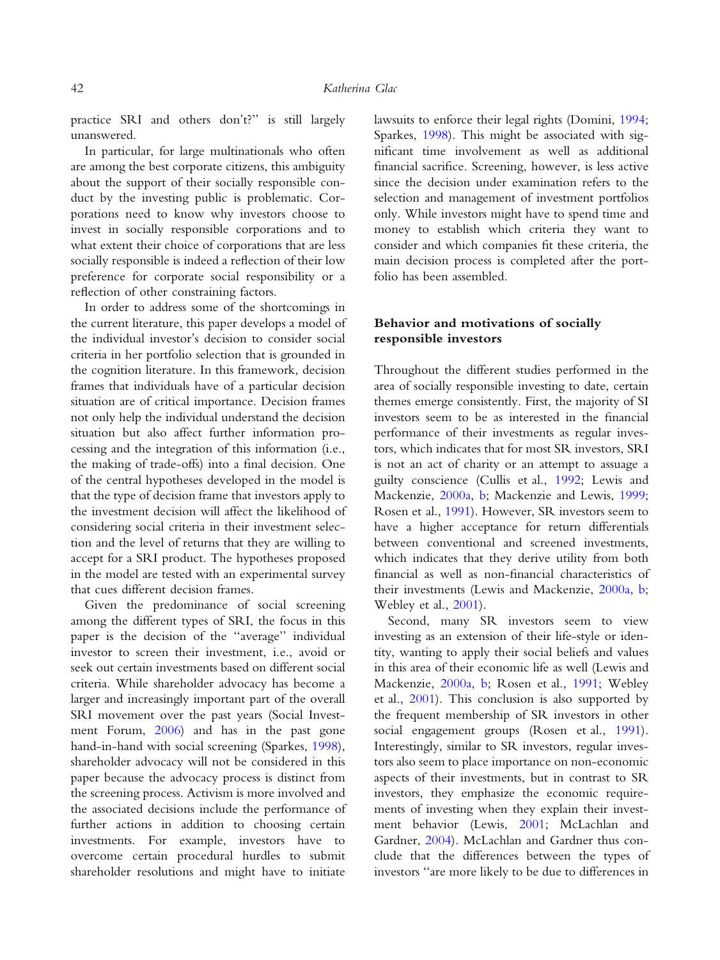practice SRI and others don't?'' is still largely unanswered.

In particular, for large multinationals who often are among the best corporate citizens, this ambiguity about the support of their socially responsible conduct by the investing public is problematic. Corporations need to know why investors choose to invest in socially responsible corporations and to what extent their choice of corporations that are less socially responsible is indeed a reflection of their low preference for corporate social responsibility or a reflection of other constraining factors.

In order to address some of the shortcomings in the current literature, this paper develops a model of the individual investor's decision to consider social criteria in her portfolio selection that is grounded in the cognition literature. In this framework, decision frames that individuals have of a particular decision situation are of critical importance. Decision frames not only help the individual understand the decision situation but also affect further information processing and the integration of this information (i.e., the making of trade-offs) into a final decision. One of the central hypotheses developed in the model is that the type of decision frame that investors apply to the investment decision will affect the likelihood of considering social criteria in their investment selection and the level of returns that they are willing to accept for a SRI product. The hypotheses proposed in the model are tested with an experimental survey that cues different decision frames.

Given the predominance of social screening among the different types of SRI, the focus in this paper is the decision of the ''average'' individual investor to screen their investment, i.e., avoid or seek out certain investments based on different social criteria. While shareholder advocacy has become a larger and increasingly important part of the overall SRI movement over the past years (Social Investment Forum, 2006) and has in the past gone hand-in-hand with social screening (Sparkes, 1998), shareholder advocacy will not be considered in this paper because the advocacy process is distinct from the screening process. Activism is more involved and the associated decisions include the performance of further actions in addition to choosing certain investments. For example, investors have to overcome certain procedural hurdles to submit shareholder resolutions and might have to initiate

lawsuits to enforce their legal rights (Domini, 1994; Sparkes, 1998). This might be associated with significant time involvement as well as additional financial sacrifice. Screening, however, is less active since the decision under examination refers to the selection and management of investment portfolios only. While investors might have to spend time and money to establish which criteria they want to consider and which companies fit these criteria, the main decision process is completed after the portfolio has been assembled.

# Behavior and motivations of socially responsible investors

Throughout the different studies performed in the area of socially responsible investing to date, certain themes emerge consistently. First, the majority of SI investors seem to be as interested in the financial performance of their investments as regular investors, which indicates that for most SR investors, SRI is not an act of charity or an attempt to assuage a guilty conscience (Cullis et al., 1992; Lewis and Mackenzie, 2000a, b; Mackenzie and Lewis, 1999; Rosen et al., 1991). However, SR investors seem to have a higher acceptance for return differentials between conventional and screened investments, which indicates that they derive utility from both financial as well as non-financial characteristics of their investments (Lewis and Mackenzie, 2000a, b; Webley et al., 2001).

Second, many SR investors seem to view investing as an extension of their life-style or identity, wanting to apply their social beliefs and values in this area of their economic life as well (Lewis and Mackenzie, 2000a, b; Rosen et al., 1991; Webley et al., 2001). This conclusion is also supported by the frequent membership of SR investors in other social engagement groups (Rosen et al., 1991). Interestingly, similar to SR investors, regular investors also seem to place importance on non-economic aspects of their investments, but in contrast to SR investors, they emphasize the economic requirements of investing when they explain their investment behavior (Lewis, 2001; McLachlan and Gardner, 2004). McLachlan and Gardner thus conclude that the differences between the types of investors ''are more likely to be due to differences in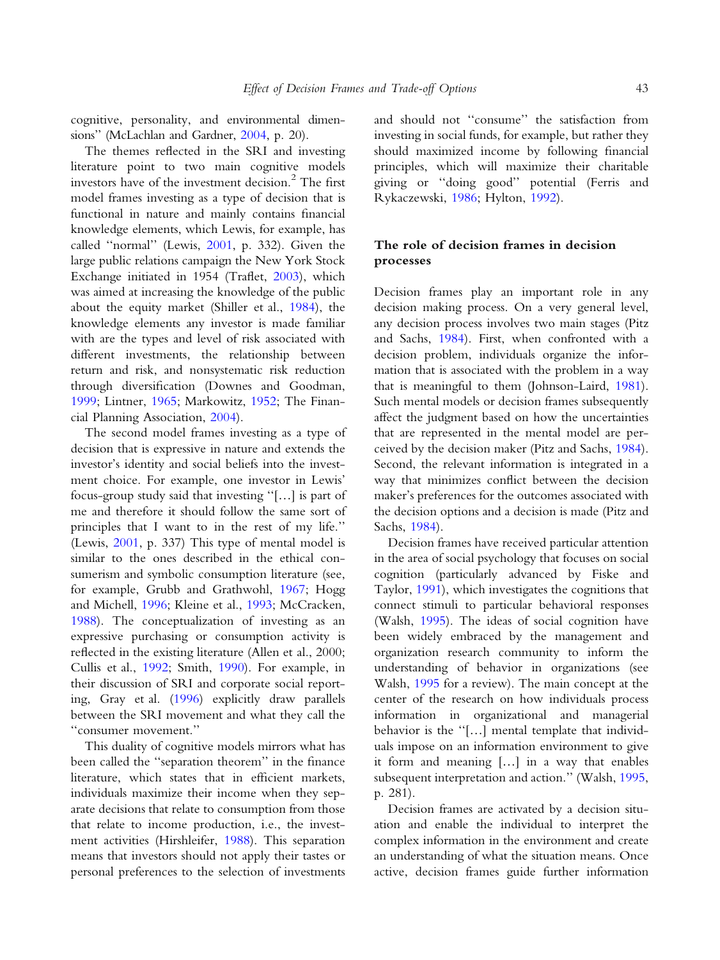cognitive, personality, and environmental dimensions'' (McLachlan and Gardner, 2004, p. 20).

The themes reflected in the SRI and investing literature point to two main cognitive models investors have of the investment decision. $<sup>2</sup>$  The first</sup> model frames investing as a type of decision that is functional in nature and mainly contains financial knowledge elements, which Lewis, for example, has called ''normal'' (Lewis, 2001, p. 332). Given the large public relations campaign the New York Stock Exchange initiated in 1954 (Traflet, 2003), which was aimed at increasing the knowledge of the public about the equity market (Shiller et al., 1984), the knowledge elements any investor is made familiar with are the types and level of risk associated with different investments, the relationship between return and risk, and nonsystematic risk reduction through diversification (Downes and Goodman, 1999; Lintner, 1965; Markowitz, 1952; The Financial Planning Association, 2004).

The second model frames investing as a type of decision that is expressive in nature and extends the investor's identity and social beliefs into the investment choice. For example, one investor in Lewis' focus-group study said that investing ''[…] is part of me and therefore it should follow the same sort of principles that I want to in the rest of my life.'' (Lewis, 2001, p. 337) This type of mental model is similar to the ones described in the ethical consumerism and symbolic consumption literature (see, for example, Grubb and Grathwohl, 1967; Hogg and Michell, 1996; Kleine et al., 1993; McCracken, 1988). The conceptualization of investing as an expressive purchasing or consumption activity is reflected in the existing literature (Allen et al., 2000; Cullis et al., 1992; Smith, 1990). For example, in their discussion of SRI and corporate social reporting, Gray et al. (1996) explicitly draw parallels between the SRI movement and what they call the ''consumer movement.''

This duality of cognitive models mirrors what has been called the ''separation theorem'' in the finance literature, which states that in efficient markets, individuals maximize their income when they separate decisions that relate to consumption from those that relate to income production, i.e., the investment activities (Hirshleifer, 1988). This separation means that investors should not apply their tastes or personal preferences to the selection of investments

and should not ''consume'' the satisfaction from investing in social funds, for example, but rather they should maximized income by following financial principles, which will maximize their charitable giving or ''doing good'' potential (Ferris and Rykaczewski, 1986; Hylton, 1992).

# The role of decision frames in decision processes

Decision frames play an important role in any decision making process. On a very general level, any decision process involves two main stages (Pitz and Sachs, 1984). First, when confronted with a decision problem, individuals organize the information that is associated with the problem in a way that is meaningful to them (Johnson-Laird, 1981). Such mental models or decision frames subsequently affect the judgment based on how the uncertainties that are represented in the mental model are perceived by the decision maker (Pitz and Sachs, 1984). Second, the relevant information is integrated in a way that minimizes conflict between the decision maker's preferences for the outcomes associated with the decision options and a decision is made (Pitz and Sachs, 1984).

Decision frames have received particular attention in the area of social psychology that focuses on social cognition (particularly advanced by Fiske and Taylor, 1991), which investigates the cognitions that connect stimuli to particular behavioral responses (Walsh, 1995). The ideas of social cognition have been widely embraced by the management and organization research community to inform the understanding of behavior in organizations (see Walsh, 1995 for a review). The main concept at the center of the research on how individuals process information in organizational and managerial behavior is the ''[…] mental template that individuals impose on an information environment to give it form and meaning […] in a way that enables subsequent interpretation and action.'' (Walsh, 1995, p. 281).

Decision frames are activated by a decision situation and enable the individual to interpret the complex information in the environment and create an understanding of what the situation means. Once active, decision frames guide further information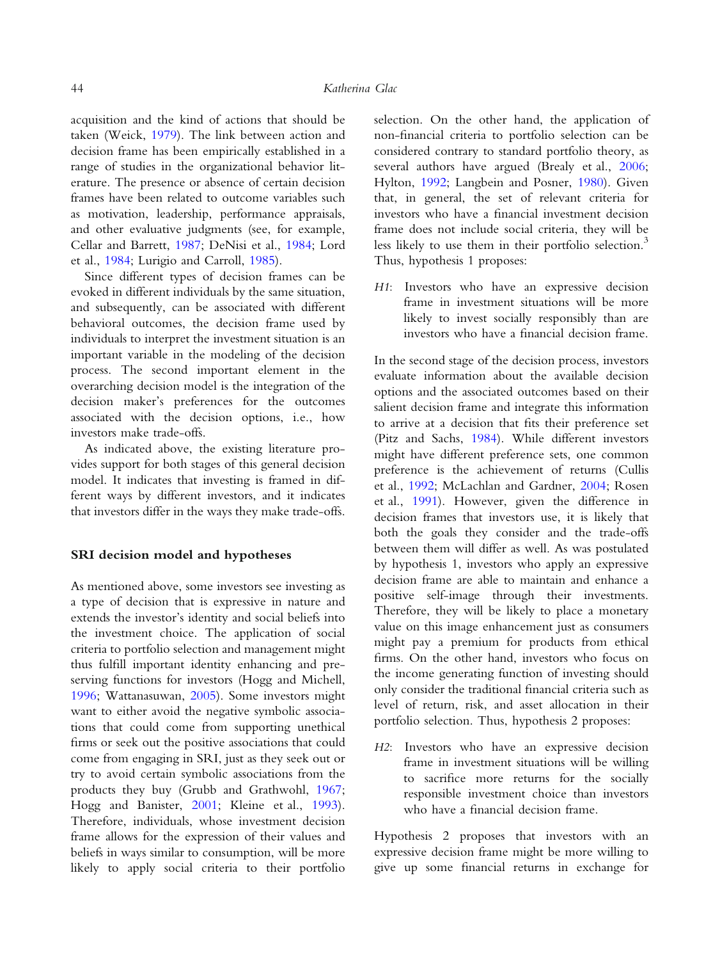acquisition and the kind of actions that should be taken (Weick, 1979). The link between action and decision frame has been empirically established in a range of studies in the organizational behavior literature. The presence or absence of certain decision frames have been related to outcome variables such as motivation, leadership, performance appraisals, and other evaluative judgments (see, for example, Cellar and Barrett, 1987; DeNisi et al., 1984; Lord et al., 1984; Lurigio and Carroll, 1985).

Since different types of decision frames can be evoked in different individuals by the same situation, and subsequently, can be associated with different behavioral outcomes, the decision frame used by individuals to interpret the investment situation is an important variable in the modeling of the decision process. The second important element in the overarching decision model is the integration of the decision maker's preferences for the outcomes associated with the decision options, i.e., how investors make trade-offs.

As indicated above, the existing literature provides support for both stages of this general decision model. It indicates that investing is framed in different ways by different investors, and it indicates that investors differ in the ways they make trade-offs.

# SRI decision model and hypotheses

As mentioned above, some investors see investing as a type of decision that is expressive in nature and extends the investor's identity and social beliefs into the investment choice. The application of social criteria to portfolio selection and management might thus fulfill important identity enhancing and preserving functions for investors (Hogg and Michell, 1996; Wattanasuwan, 2005). Some investors might want to either avoid the negative symbolic associations that could come from supporting unethical firms or seek out the positive associations that could come from engaging in SRI, just as they seek out or try to avoid certain symbolic associations from the products they buy (Grubb and Grathwohl, 1967; Hogg and Banister, 2001; Kleine et al., 1993). Therefore, individuals, whose investment decision frame allows for the expression of their values and beliefs in ways similar to consumption, will be more likely to apply social criteria to their portfolio

selection. On the other hand, the application of non-financial criteria to portfolio selection can be considered contrary to standard portfolio theory, as several authors have argued (Brealy et al., 2006; Hylton, 1992; Langbein and Posner, 1980). Given that, in general, the set of relevant criteria for investors who have a financial investment decision frame does not include social criteria, they will be less likely to use them in their portfolio selection.<sup>3</sup> Thus, hypothesis 1 proposes:

H1: Investors who have an expressive decision frame in investment situations will be more likely to invest socially responsibly than are investors who have a financial decision frame.

In the second stage of the decision process, investors evaluate information about the available decision options and the associated outcomes based on their salient decision frame and integrate this information to arrive at a decision that fits their preference set (Pitz and Sachs, 1984). While different investors might have different preference sets, one common preference is the achievement of returns (Cullis et al., 1992; McLachlan and Gardner, 2004; Rosen et al., 1991). However, given the difference in decision frames that investors use, it is likely that both the goals they consider and the trade-offs between them will differ as well. As was postulated by hypothesis 1, investors who apply an expressive decision frame are able to maintain and enhance a positive self-image through their investments. Therefore, they will be likely to place a monetary value on this image enhancement just as consumers might pay a premium for products from ethical firms. On the other hand, investors who focus on the income generating function of investing should only consider the traditional financial criteria such as level of return, risk, and asset allocation in their portfolio selection. Thus, hypothesis 2 proposes:

H2: Investors who have an expressive decision frame in investment situations will be willing to sacrifice more returns for the socially responsible investment choice than investors who have a financial decision frame.

Hypothesis 2 proposes that investors with an expressive decision frame might be more willing to give up some financial returns in exchange for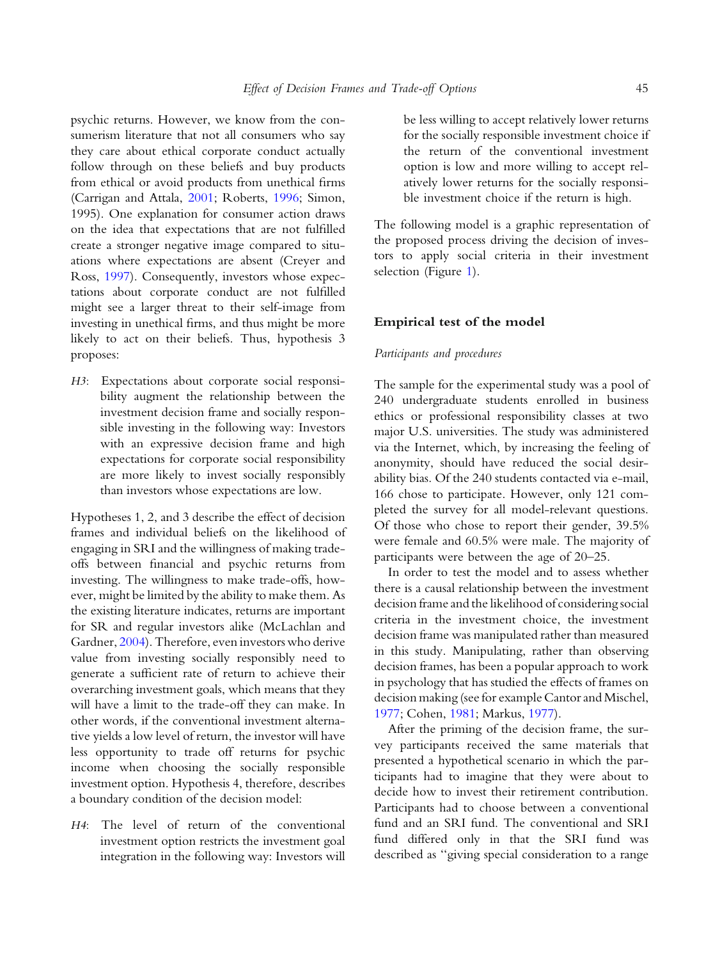psychic returns. However, we know from the consumerism literature that not all consumers who say they care about ethical corporate conduct actually follow through on these beliefs and buy products from ethical or avoid products from unethical firms (Carrigan and Attala, 2001; Roberts, 1996; Simon, 1995). One explanation for consumer action draws on the idea that expectations that are not fulfilled create a stronger negative image compared to situations where expectations are absent (Creyer and Ross, 1997). Consequently, investors whose expectations about corporate conduct are not fulfilled might see a larger threat to their self-image from investing in unethical firms, and thus might be more likely to act on their beliefs. Thus, hypothesis 3 proposes:

H3: Expectations about corporate social responsibility augment the relationship between the investment decision frame and socially responsible investing in the following way: Investors with an expressive decision frame and high expectations for corporate social responsibility are more likely to invest socially responsibly than investors whose expectations are low.

Hypotheses 1, 2, and 3 describe the effect of decision frames and individual beliefs on the likelihood of engaging in SRI and the willingness of making tradeoffs between financial and psychic returns from investing. The willingness to make trade-offs, however, might be limited by the ability to make them. As the existing literature indicates, returns are important for SR and regular investors alike (McLachlan and Gardner, 2004). Therefore, even investors who derive value from investing socially responsibly need to generate a sufficient rate of return to achieve their overarching investment goals, which means that they will have a limit to the trade-off they can make. In other words, if the conventional investment alternative yields a low level of return, the investor will have less opportunity to trade off returns for psychic income when choosing the socially responsible investment option. Hypothesis 4, therefore, describes a boundary condition of the decision model:

H4: The level of return of the conventional investment option restricts the investment goal integration in the following way: Investors will be less willing to accept relatively lower returns for the socially responsible investment choice if the return of the conventional investment option is low and more willing to accept relatively lower returns for the socially responsible investment choice if the return is high.

The following model is a graphic representation of the proposed process driving the decision of investors to apply social criteria in their investment selection (Figure 1).

### Empirical test of the model

## Participants and procedures

The sample for the experimental study was a pool of 240 undergraduate students enrolled in business ethics or professional responsibility classes at two major U.S. universities. The study was administered via the Internet, which, by increasing the feeling of anonymity, should have reduced the social desirability bias. Of the 240 students contacted via e-mail, 166 chose to participate. However, only 121 completed the survey for all model-relevant questions. Of those who chose to report their gender, 39.5% were female and 60.5% were male. The majority of participants were between the age of 20–25.

In order to test the model and to assess whether there is a causal relationship between the investment decision frame and the likelihood of considering social criteria in the investment choice, the investment decision frame was manipulated rather than measured in this study. Manipulating, rather than observing decision frames, has been a popular approach to work in psychology that has studied the effects of frames on decision making (see for example Cantor and Mischel, 1977; Cohen, 1981; Markus, 1977).

After the priming of the decision frame, the survey participants received the same materials that presented a hypothetical scenario in which the participants had to imagine that they were about to decide how to invest their retirement contribution. Participants had to choose between a conventional fund and an SRI fund. The conventional and SRI fund differed only in that the SRI fund was described as ''giving special consideration to a range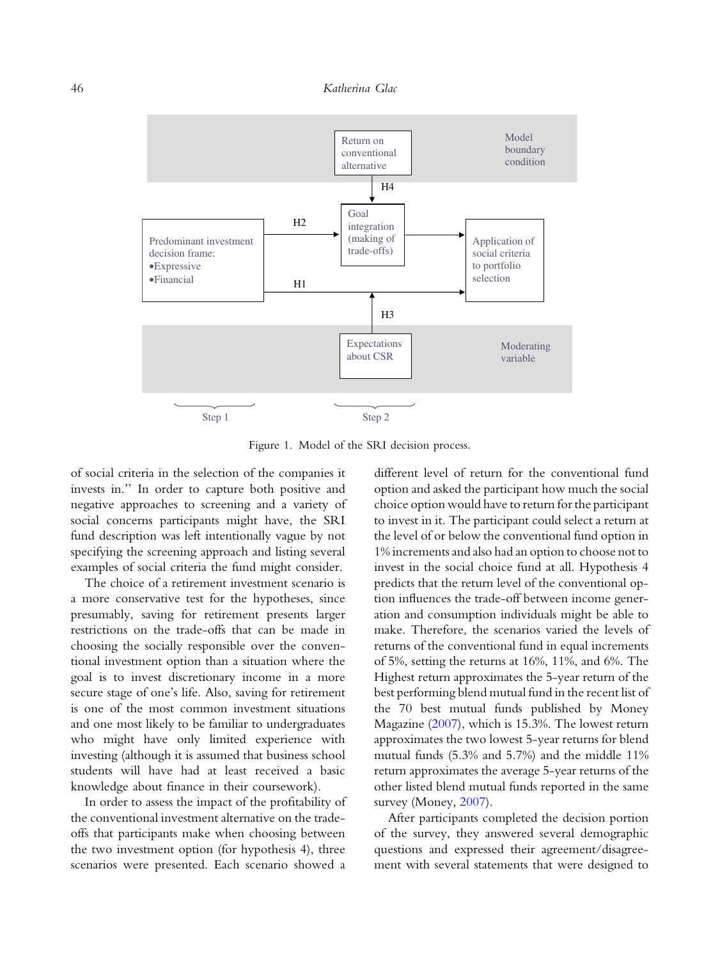

Figure 1. Model of the SRI decision process.

of social criteria in the selection of the companies it invests in.'' In order to capture both positive and negative approaches to screening and a variety of social concerns participants might have, the SRI fund description was left intentionally vague by not specifying the screening approach and listing several examples of social criteria the fund might consider.

The choice of a retirement investment scenario is a more conservative test for the hypotheses, since presumably, saving for retirement presents larger restrictions on the trade-offs that can be made in choosing the socially responsible over the conventional investment option than a situation where the goal is to invest discretionary income in a more secure stage of one's life. Also, saving for retirement is one of the most common investment situations and one most likely to be familiar to undergraduates who might have only limited experience with investing (although it is assumed that business school students will have had at least received a basic knowledge about finance in their coursework).

In order to assess the impact of the profitability of the conventional investment alternative on the tradeoffs that participants make when choosing between the two investment option (for hypothesis 4), three scenarios were presented. Each scenario showed a

different level of return for the conventional fund option and asked the participant how much the social choice option would have to return for the participant to invest in it. The participant could select a return at the level of or below the conventional fund option in 1% increments and also had an option to choose not to invest in the social choice fund at all. Hypothesis 4 predicts that the return level of the conventional option influences the trade-off between income generation and consumption individuals might be able to make. Therefore, the scenarios varied the levels of returns of the conventional fund in equal increments of 5%, setting the returns at 16%, 11%, and 6%. The Highest return approximates the 5-year return of the best performing blend mutual fund in the recent list of the 70 best mutual funds published by Money Magazine (2007), which is 15.3%. The lowest return approximates the two lowest 5-year returns for blend mutual funds (5.3% and 5.7%) and the middle 11% return approximates the average 5-year returns of the other listed blend mutual funds reported in the same survey (Money, 2007).

After participants completed the decision portion of the survey, they answered several demographic questions and expressed their agreement/disagreement with several statements that were designed to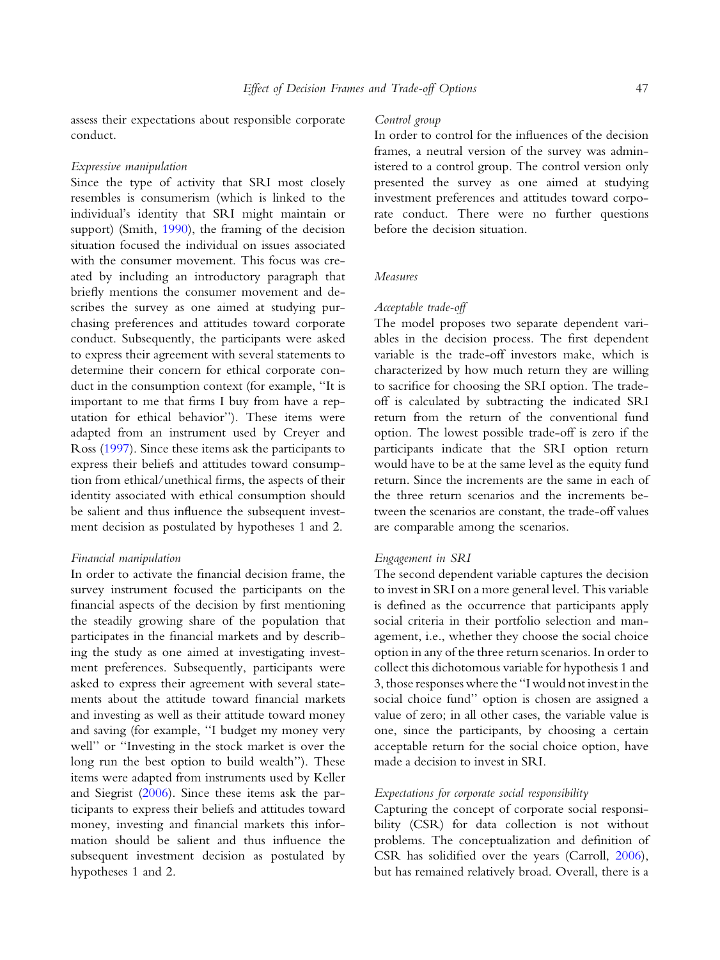assess their expectations about responsible corporate conduct.

# Expressive manipulation

Since the type of activity that SRI most closely resembles is consumerism (which is linked to the individual's identity that SRI might maintain or support) (Smith, 1990), the framing of the decision situation focused the individual on issues associated with the consumer movement. This focus was created by including an introductory paragraph that briefly mentions the consumer movement and describes the survey as one aimed at studying purchasing preferences and attitudes toward corporate conduct. Subsequently, the participants were asked to express their agreement with several statements to determine their concern for ethical corporate conduct in the consumption context (for example, ''It is important to me that firms I buy from have a reputation for ethical behavior''). These items were adapted from an instrument used by Creyer and Ross (1997). Since these items ask the participants to express their beliefs and attitudes toward consumption from ethical/unethical firms, the aspects of their identity associated with ethical consumption should be salient and thus influence the subsequent investment decision as postulated by hypotheses 1 and 2.

## Financial manipulation

In order to activate the financial decision frame, the survey instrument focused the participants on the financial aspects of the decision by first mentioning the steadily growing share of the population that participates in the financial markets and by describing the study as one aimed at investigating investment preferences. Subsequently, participants were asked to express their agreement with several statements about the attitude toward financial markets and investing as well as their attitude toward money and saving (for example, ''I budget my money very well'' or ''Investing in the stock market is over the long run the best option to build wealth''). These items were adapted from instruments used by Keller and Siegrist (2006). Since these items ask the participants to express their beliefs and attitudes toward money, investing and financial markets this information should be salient and thus influence the subsequent investment decision as postulated by hypotheses 1 and 2.

#### Control group

In order to control for the influences of the decision frames, a neutral version of the survey was administered to a control group. The control version only presented the survey as one aimed at studying investment preferences and attitudes toward corporate conduct. There were no further questions before the decision situation.

#### Measures

# Acceptable trade-off

The model proposes two separate dependent variables in the decision process. The first dependent variable is the trade-off investors make, which is characterized by how much return they are willing to sacrifice for choosing the SRI option. The tradeoff is calculated by subtracting the indicated SRI return from the return of the conventional fund option. The lowest possible trade-off is zero if the participants indicate that the SRI option return would have to be at the same level as the equity fund return. Since the increments are the same in each of the three return scenarios and the increments between the scenarios are constant, the trade-off values are comparable among the scenarios.

# Engagement in SRI

The second dependent variable captures the decision to invest in SRI on a more general level. This variable is defined as the occurrence that participants apply social criteria in their portfolio selection and management, i.e., whether they choose the social choice option in any of the three return scenarios. In order to collect this dichotomous variable for hypothesis 1 and 3, those responses where the ''I would not invest in the social choice fund'' option is chosen are assigned a value of zero; in all other cases, the variable value is one, since the participants, by choosing a certain acceptable return for the social choice option, have made a decision to invest in SRI.

### Expectations for corporate social responsibility

Capturing the concept of corporate social responsibility (CSR) for data collection is not without problems. The conceptualization and definition of CSR has solidified over the years (Carroll, 2006), but has remained relatively broad. Overall, there is a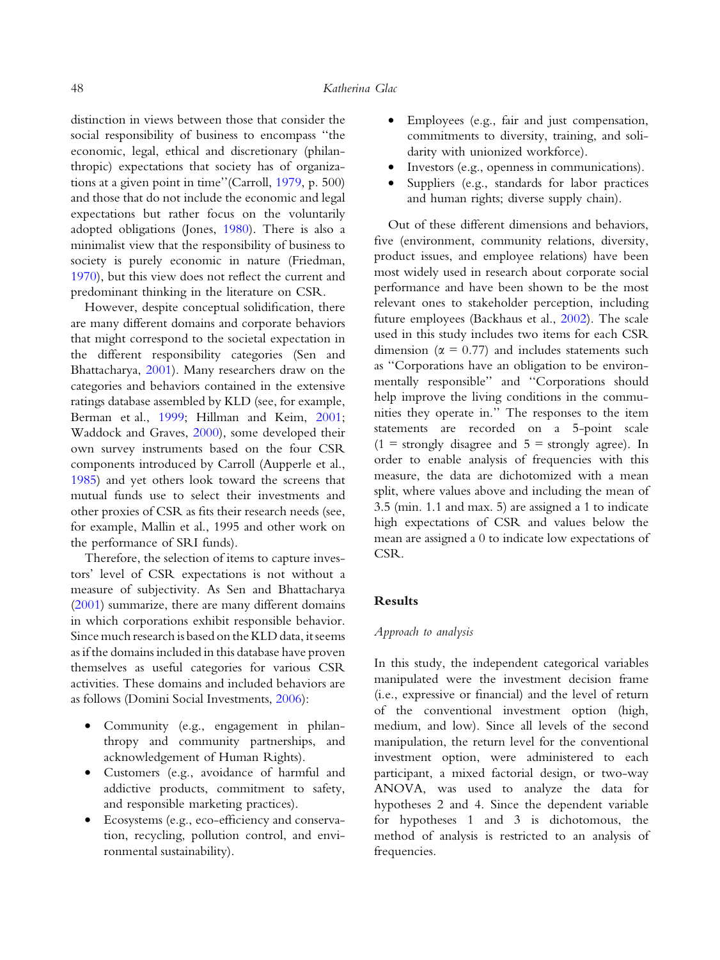distinction in views between those that consider the social responsibility of business to encompass ''the economic, legal, ethical and discretionary (philanthropic) expectations that society has of organizations at a given point in time''(Carroll, 1979, p. 500) and those that do not include the economic and legal expectations but rather focus on the voluntarily adopted obligations (Jones, 1980). There is also a minimalist view that the responsibility of business to society is purely economic in nature (Friedman, 1970), but this view does not reflect the current and predominant thinking in the literature on CSR.

However, despite conceptual solidification, there are many different domains and corporate behaviors that might correspond to the societal expectation in the different responsibility categories (Sen and Bhattacharya, 2001). Many researchers draw on the categories and behaviors contained in the extensive ratings database assembled by KLD (see, for example, Berman et al., 1999; Hillman and Keim, 2001; Waddock and Graves, 2000), some developed their own survey instruments based on the four CSR components introduced by Carroll (Aupperle et al., 1985) and yet others look toward the screens that mutual funds use to select their investments and other proxies of CSR as fits their research needs (see, for example, Mallin et al., 1995 and other work on the performance of SRI funds).

Therefore, the selection of items to capture investors' level of CSR expectations is not without a measure of subjectivity. As Sen and Bhattacharya (2001) summarize, there are many different domains in which corporations exhibit responsible behavior. Since much research is based on the KLD data, it seems as if the domains included in this database have proven themselves as useful categories for various CSR activities. These domains and included behaviors are as follows (Domini Social Investments, 2006):

- Community (e.g., engagement in philanthropy and community partnerships, and acknowledgement of Human Rights).
- Customers (e.g., avoidance of harmful and addictive products, commitment to safety, and responsible marketing practices).
- Ecosystems (e.g., eco-efficiency and conservation, recycling, pollution control, and environmental sustainability).
- Employees (e.g., fair and just compensation, commitments to diversity, training, and solidarity with unionized workforce).
- Investors (e.g., openness in communications).
- Suppliers (e.g., standards for labor practices and human rights; diverse supply chain).

Out of these different dimensions and behaviors, five (environment, community relations, diversity, product issues, and employee relations) have been most widely used in research about corporate social performance and have been shown to be the most relevant ones to stakeholder perception, including future employees (Backhaus et al., 2002). The scale used in this study includes two items for each CSR dimension ( $\alpha$  = 0.77) and includes statements such as ''Corporations have an obligation to be environmentally responsible'' and ''Corporations should help improve the living conditions in the communities they operate in.'' The responses to the item statements are recorded on a 5-point scale  $(1 =$  strongly disagree and  $5 =$  strongly agree). In order to enable analysis of frequencies with this measure, the data are dichotomized with a mean split, where values above and including the mean of 3.5 (min. 1.1 and max. 5) are assigned a 1 to indicate high expectations of CSR and values below the mean are assigned a 0 to indicate low expectations of CSR.

## Results

# Approach to analysis

In this study, the independent categorical variables manipulated were the investment decision frame (i.e., expressive or financial) and the level of return of the conventional investment option (high, medium, and low). Since all levels of the second manipulation, the return level for the conventional investment option, were administered to each participant, a mixed factorial design, or two-way ANOVA, was used to analyze the data for hypotheses 2 and 4. Since the dependent variable for hypotheses 1 and 3 is dichotomous, the method of analysis is restricted to an analysis of frequencies.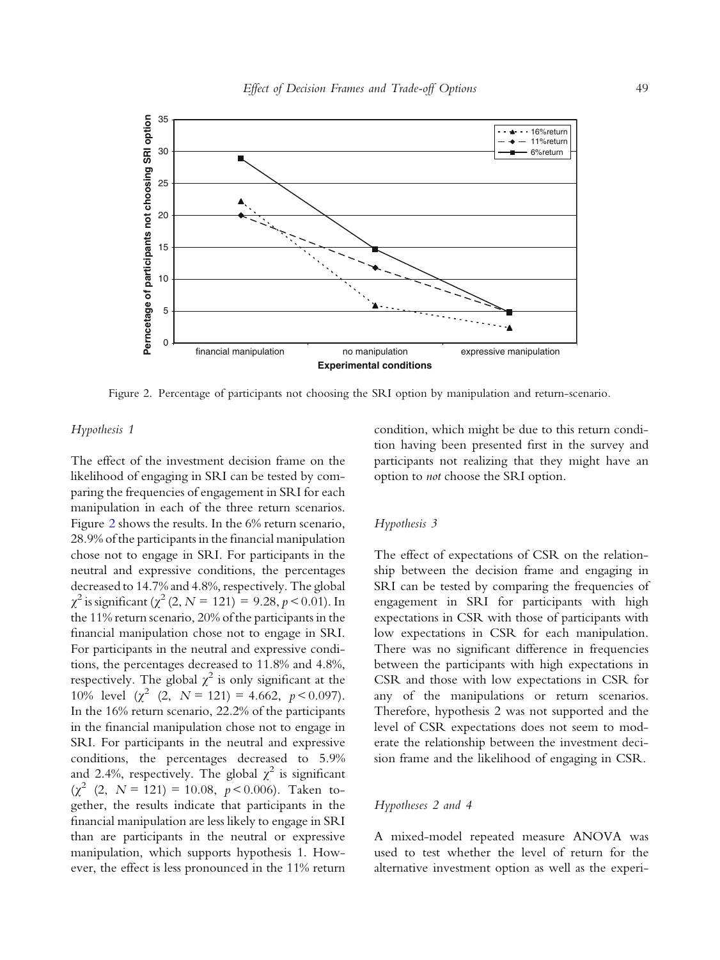

Figure 2. Percentage of participants not choosing the SRI option by manipulation and return-scenario.

# Hypothesis 1

The effect of the investment decision frame on the likelihood of engaging in SRI can be tested by comparing the frequencies of engagement in SRI for each manipulation in each of the three return scenarios. Figure 2 shows the results. In the 6% return scenario, 28.9% of the participants in the financial manipulation chose not to engage in SRI. For participants in the neutral and expressive conditions, the percentages decreased to 14.7% and 4.8%, respectively. The global  $\chi^2$  is significant ( $\chi^2$  (2, N = 121) = 9.28, p < 0.01). In the 11% return scenario, 20% of the participants in the financial manipulation chose not to engage in SRI. For participants in the neutral and expressive conditions, the percentages decreased to 11.8% and 4.8%, respectively. The global  $\chi^2$  is only significant at the 10% level  $(\chi^2$  (2,  $N = 121) = 4.662$ ,  $p < 0.097$ ). In the 16% return scenario, 22.2% of the participants in the financial manipulation chose not to engage in SRI. For participants in the neutral and expressive conditions, the percentages decreased to 5.9% and 2.4%, respectively. The global  $\chi^2$  is significant  $(\chi^2 \ (2, \ N = 121) = 10.08, \ p < 0.006)$ . Taken together, the results indicate that participants in the financial manipulation are less likely to engage in SRI than are participants in the neutral or expressive manipulation, which supports hypothesis 1. However, the effect is less pronounced in the 11% return

condition, which might be due to this return condition having been presented first in the survey and participants not realizing that they might have an option to not choose the SRI option.

# Hypothesis 3

The effect of expectations of CSR on the relationship between the decision frame and engaging in SRI can be tested by comparing the frequencies of engagement in SRI for participants with high expectations in CSR with those of participants with low expectations in CSR for each manipulation. There was no significant difference in frequencies between the participants with high expectations in CSR and those with low expectations in CSR for any of the manipulations or return scenarios. Therefore, hypothesis 2 was not supported and the level of CSR expectations does not seem to moderate the relationship between the investment decision frame and the likelihood of engaging in CSR.

## Hypotheses 2 and 4

A mixed-model repeated measure ANOVA was used to test whether the level of return for the alternative investment option as well as the experi-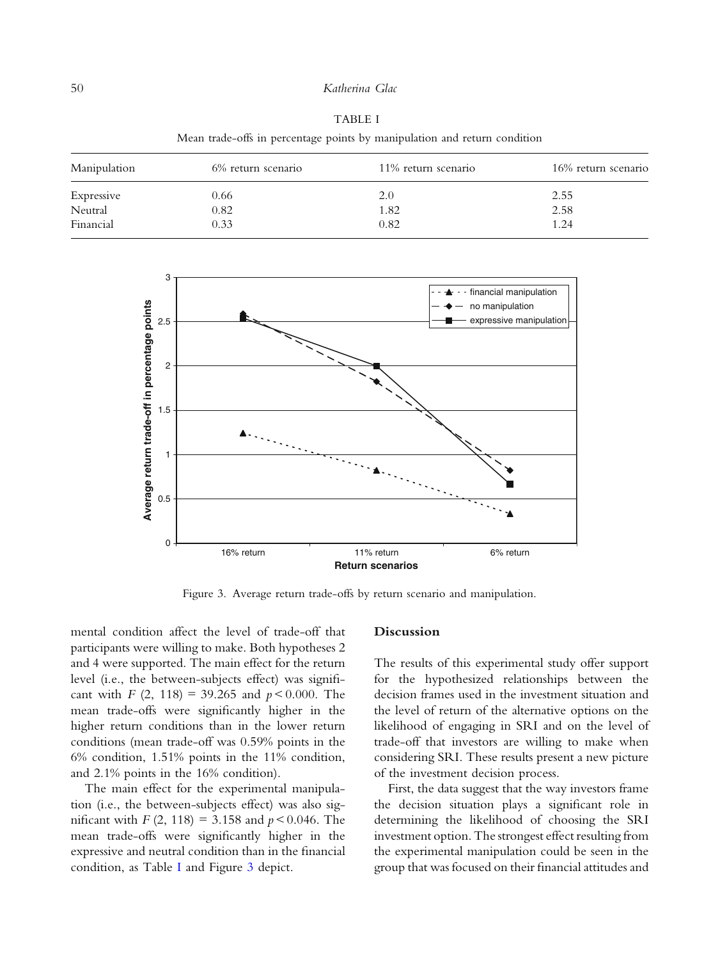### 50 Katherina Glac

TABLE I

| Mean trade-offs in percentage points by manipulation and return condition |                    |                     |                     |
|---------------------------------------------------------------------------|--------------------|---------------------|---------------------|
| Manipulation                                                              | 6% return scenario | 11% return scenario | 16% return scenario |
| Expressive                                                                | 0.66               | 2.0                 | 2.55                |
| Neutral                                                                   | 0.82               | 1.82                | 2.58                |
| Financial                                                                 | 0.33               | 0.82                | 1.24                |



Figure 3. Average return trade-offs by return scenario and manipulation.

mental condition affect the level of trade-off that participants were willing to make. Both hypotheses 2 and 4 were supported. The main effect for the return level (i.e., the between-subjects effect) was significant with  $F(2, 118) = 39.265$  and  $p < 0.000$ . The mean trade-offs were significantly higher in the higher return conditions than in the lower return conditions (mean trade-off was 0.59% points in the 6% condition, 1.51% points in the 11% condition, and 2.1% points in the 16% condition).

The main effect for the experimental manipulation (i.e., the between-subjects effect) was also significant with  $F(2, 118) = 3.158$  and  $p < 0.046$ . The mean trade-offs were significantly higher in the expressive and neutral condition than in the financial condition, as Table I and Figure 3 depict.

### Discussion

The results of this experimental study offer support for the hypothesized relationships between the decision frames used in the investment situation and the level of return of the alternative options on the likelihood of engaging in SRI and on the level of trade-off that investors are willing to make when considering SRI. These results present a new picture of the investment decision process.

First, the data suggest that the way investors frame the decision situation plays a significant role in determining the likelihood of choosing the SRI investment option. The strongest effect resulting from the experimental manipulation could be seen in the group that was focused on their financial attitudes and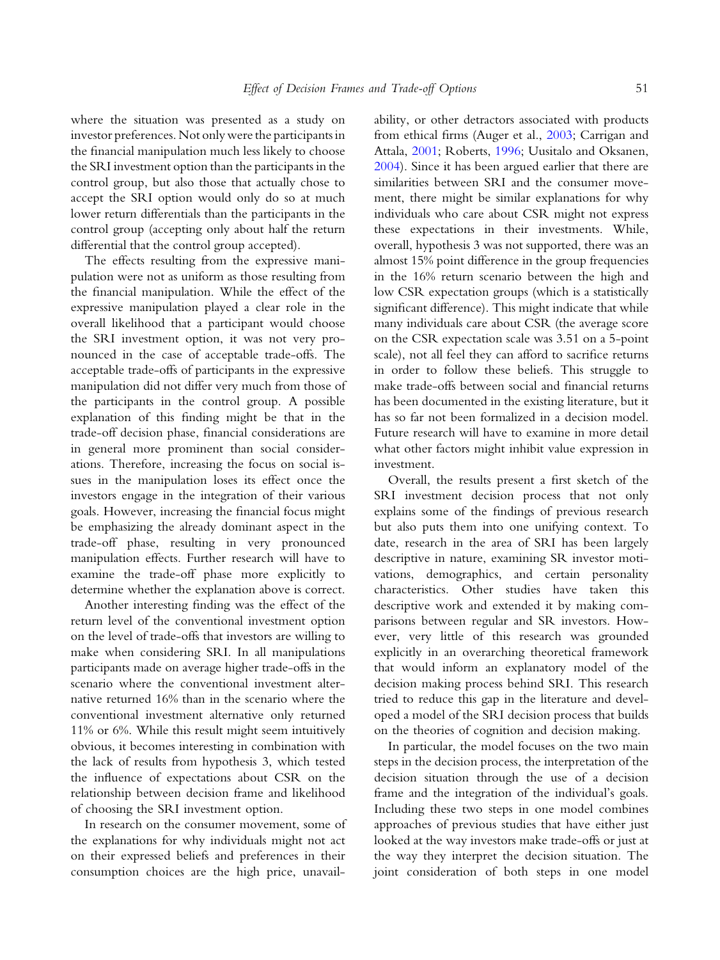where the situation was presented as a study on investor preferences. Not only were the participants in the financial manipulation much less likely to choose the SRI investment option than the participants in the control group, but also those that actually chose to accept the SRI option would only do so at much lower return differentials than the participants in the control group (accepting only about half the return differential that the control group accepted).

The effects resulting from the expressive manipulation were not as uniform as those resulting from the financial manipulation. While the effect of the expressive manipulation played a clear role in the overall likelihood that a participant would choose the SRI investment option, it was not very pronounced in the case of acceptable trade-offs. The acceptable trade-offs of participants in the expressive manipulation did not differ very much from those of the participants in the control group. A possible explanation of this finding might be that in the trade-off decision phase, financial considerations are in general more prominent than social considerations. Therefore, increasing the focus on social issues in the manipulation loses its effect once the investors engage in the integration of their various goals. However, increasing the financial focus might be emphasizing the already dominant aspect in the trade-off phase, resulting in very pronounced manipulation effects. Further research will have to examine the trade-off phase more explicitly to determine whether the explanation above is correct.

Another interesting finding was the effect of the return level of the conventional investment option on the level of trade-offs that investors are willing to make when considering SRI. In all manipulations participants made on average higher trade-offs in the scenario where the conventional investment alternative returned 16% than in the scenario where the conventional investment alternative only returned 11% or 6%. While this result might seem intuitively obvious, it becomes interesting in combination with the lack of results from hypothesis 3, which tested the influence of expectations about CSR on the relationship between decision frame and likelihood of choosing the SRI investment option.

In research on the consumer movement, some of the explanations for why individuals might not act on their expressed beliefs and preferences in their consumption choices are the high price, unavail-

ability, or other detractors associated with products from ethical firms (Auger et al., 2003; Carrigan and Attala, 2001; Roberts, 1996; Uusitalo and Oksanen, 2004). Since it has been argued earlier that there are similarities between SRI and the consumer movement, there might be similar explanations for why individuals who care about CSR might not express these expectations in their investments. While, overall, hypothesis 3 was not supported, there was an almost 15% point difference in the group frequencies in the 16% return scenario between the high and low CSR expectation groups (which is a statistically significant difference). This might indicate that while many individuals care about CSR (the average score on the CSR expectation scale was 3.51 on a 5-point scale), not all feel they can afford to sacrifice returns in order to follow these beliefs. This struggle to make trade-offs between social and financial returns has been documented in the existing literature, but it has so far not been formalized in a decision model. Future research will have to examine in more detail what other factors might inhibit value expression in investment.

Overall, the results present a first sketch of the SRI investment decision process that not only explains some of the findings of previous research but also puts them into one unifying context. To date, research in the area of SRI has been largely descriptive in nature, examining SR investor motivations, demographics, and certain personality characteristics. Other studies have taken this descriptive work and extended it by making comparisons between regular and SR investors. However, very little of this research was grounded explicitly in an overarching theoretical framework that would inform an explanatory model of the decision making process behind SRI. This research tried to reduce this gap in the literature and developed a model of the SRI decision process that builds on the theories of cognition and decision making.

In particular, the model focuses on the two main steps in the decision process, the interpretation of the decision situation through the use of a decision frame and the integration of the individual's goals. Including these two steps in one model combines approaches of previous studies that have either just looked at the way investors make trade-offs or just at the way they interpret the decision situation. The joint consideration of both steps in one model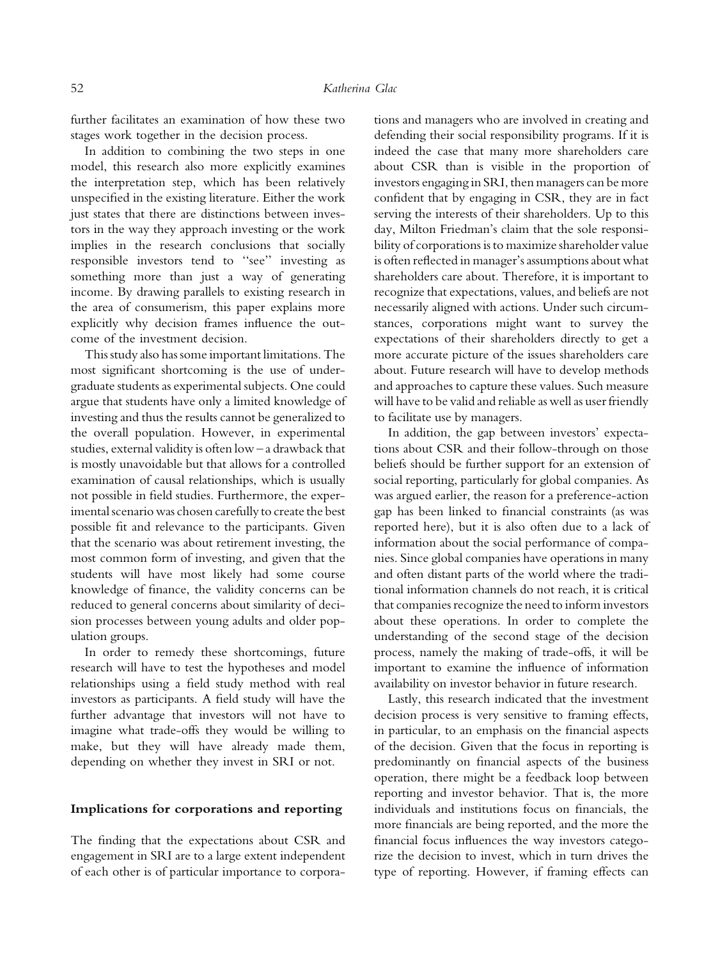further facilitates an examination of how these two stages work together in the decision process.

In addition to combining the two steps in one model, this research also more explicitly examines the interpretation step, which has been relatively unspecified in the existing literature. Either the work just states that there are distinctions between investors in the way they approach investing or the work implies in the research conclusions that socially responsible investors tend to ''see'' investing as something more than just a way of generating income. By drawing parallels to existing research in the area of consumerism, this paper explains more explicitly why decision frames influence the outcome of the investment decision.

This study also has some important limitations. The most significant shortcoming is the use of undergraduate students as experimental subjects. One could argue that students have only a limited knowledge of investing and thus the results cannot be generalized to the overall population. However, in experimental studies, external validity is often low – a drawback that is mostly unavoidable but that allows for a controlled examination of causal relationships, which is usually not possible in field studies. Furthermore, the experimental scenario was chosen carefully to create the best possible fit and relevance to the participants. Given that the scenario was about retirement investing, the most common form of investing, and given that the students will have most likely had some course knowledge of finance, the validity concerns can be reduced to general concerns about similarity of decision processes between young adults and older population groups.

In order to remedy these shortcomings, future research will have to test the hypotheses and model relationships using a field study method with real investors as participants. A field study will have the further advantage that investors will not have to imagine what trade-offs they would be willing to make, but they will have already made them, depending on whether they invest in SRI or not.

# Implications for corporations and reporting

The finding that the expectations about CSR and engagement in SRI are to a large extent independent of each other is of particular importance to corporations and managers who are involved in creating and defending their social responsibility programs. If it is indeed the case that many more shareholders care about CSR than is visible in the proportion of investors engaging in SRI, then managers can be more confident that by engaging in CSR, they are in fact serving the interests of their shareholders. Up to this day, Milton Friedman's claim that the sole responsibility of corporations is to maximize shareholder value is often reflected in manager's assumptions about what shareholders care about. Therefore, it is important to recognize that expectations, values, and beliefs are not necessarily aligned with actions. Under such circumstances, corporations might want to survey the expectations of their shareholders directly to get a more accurate picture of the issues shareholders care about. Future research will have to develop methods and approaches to capture these values. Such measure will have to be valid and reliable as well as user friendly to facilitate use by managers.

In addition, the gap between investors' expectations about CSR and their follow-through on those beliefs should be further support for an extension of social reporting, particularly for global companies. As was argued earlier, the reason for a preference-action gap has been linked to financial constraints (as was reported here), but it is also often due to a lack of information about the social performance of companies. Since global companies have operations in many and often distant parts of the world where the traditional information channels do not reach, it is critical that companies recognize the need to inform investors about these operations. In order to complete the understanding of the second stage of the decision process, namely the making of trade-offs, it will be important to examine the influence of information availability on investor behavior in future research.

Lastly, this research indicated that the investment decision process is very sensitive to framing effects, in particular, to an emphasis on the financial aspects of the decision. Given that the focus in reporting is predominantly on financial aspects of the business operation, there might be a feedback loop between reporting and investor behavior. That is, the more individuals and institutions focus on financials, the more financials are being reported, and the more the financial focus influences the way investors categorize the decision to invest, which in turn drives the type of reporting. However, if framing effects can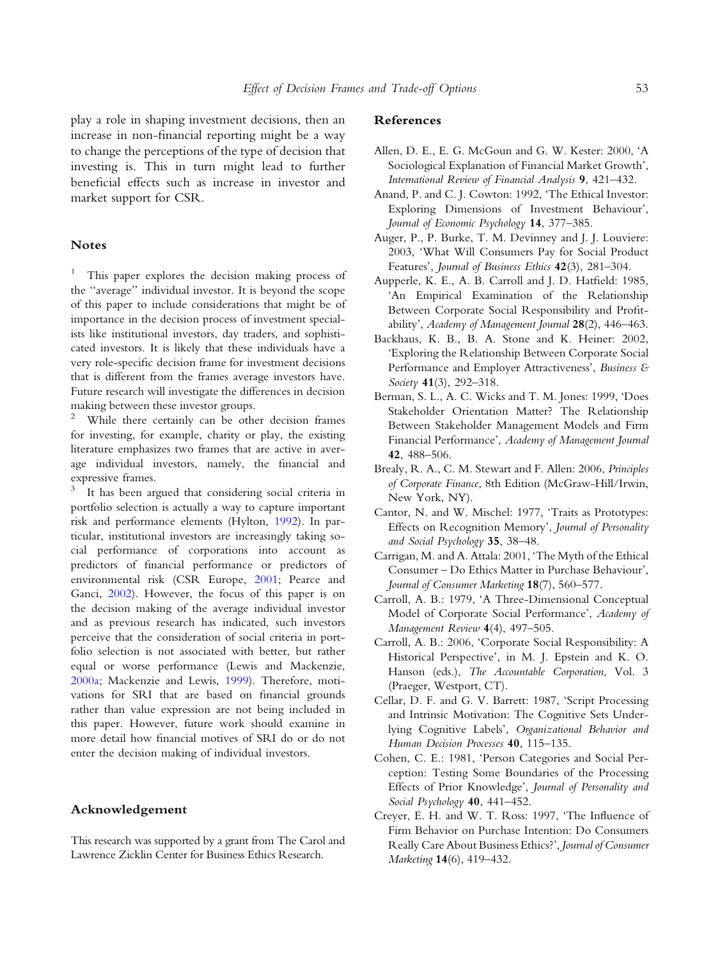play a role in shaping investment decisions, then an increase in non-financial reporting might be a way to change the perceptions of the type of decision that investing is. This in turn might lead to further beneficial effects such as increase in investor and market support for CSR.

### Notes

This paper explores the decision making process of the ''average'' individual investor. It is beyond the scope of this paper to include considerations that might be of importance in the decision process of investment specialists like institutional investors, day traders, and sophisticated investors. It is likely that these individuals have a very role-specific decision frame for investment decisions that is different from the frames average investors have. Future research will investigate the differences in decision making between these investor groups.

While there certainly can be other decision frames for investing, for example, charity or play, the existing literature emphasizes two frames that are active in average individual investors, namely, the financial and expressive frames.

It has been argued that considering social criteria in portfolio selection is actually a way to capture important risk and performance elements (Hylton, 1992). In particular, institutional investors are increasingly taking social performance of corporations into account as predictors of financial performance or predictors of environmental risk (CSR Europe, 2001; Pearce and Ganci, 2002). However, the focus of this paper is on the decision making of the average individual investor and as previous research has indicated, such investors perceive that the consideration of social criteria in portfolio selection is not associated with better, but rather equal or worse performance (Lewis and Mackenzie, 2000a; Mackenzie and Lewis, 1999). Therefore, motivations for SRI that are based on financial grounds rather than value expression are not being included in this paper. However, future work should examine in more detail how financial motives of SRI do or do not enter the decision making of individual investors.

### Acknowledgement

This research was supported by a grant from The Carol and Lawrence Zicklin Center for Business Ethics Research.

#### References

- Allen, D. E., E. G. McGoun and G. W. Kester: 2000, 'A Sociological Explanation of Financial Market Growth', International Review of Financial Analysis 9, 421–432.
- Anand, P. and C. J. Cowton: 1992, 'The Ethical Investor: Exploring Dimensions of Investment Behaviour', Journal of Economic Psychology 14, 377–385.
- Auger, P., P. Burke, T. M. Devinney and J. J. Louviere: 2003, 'What Will Consumers Pay for Social Product Features', Journal of Business Ethics 42(3), 281–304.
- Aupperle, K. E., A. B. Carroll and J. D. Hatfield: 1985, 'An Empirical Examination of the Relationship Between Corporate Social Responsibility and Profitability', Academy of Management Journal 28(2), 446–463.
- Backhaus, K. B., B. A. Stone and K. Heiner: 2002, 'Exploring the Relationship Between Corporate Social Performance and Employer Attractiveness', Business & Society **41**(3), 292-318.
- Berman, S. L., A. C. Wicks and T. M. Jones: 1999, 'Does Stakeholder Orientation Matter? The Relationship Between Stakeholder Management Models and Firm Financial Performance', Academy of Management Journal 42, 488–506.
- Brealy, R. A., C. M. Stewart and F. Allen: 2006, Principles of Corporate Finance, 8th Edition (McGraw-Hill/Irwin, New York, NY).
- Cantor, N. and W. Mischel: 1977, 'Traits as Prototypes: Effects on Recognition Memory', Journal of Personality and Social Psychology 35, 38–48.
- Carrigan, M. and A. Attala: 2001, 'The Myth of the Ethical Consumer – Do Ethics Matter in Purchase Behaviour', Journal of Consumer Marketing 18(7), 560–577.
- Carroll, A. B.: 1979, 'A Three-Dimensional Conceptual Model of Corporate Social Performance', Academy of Management Review 4(4), 497–505.
- Carroll, A. B.: 2006, 'Corporate Social Responsibility: A Historical Perspective', in M. J. Epstein and K. O. Hanson (eds.), The Accountable Corporation, Vol. 3 (Praeger, Westport, CT).
- Cellar, D. F. and G. V. Barrett: 1987, 'Script Processing and Intrinsic Motivation: The Cognitive Sets Underlying Cognitive Labels', Organizational Behavior and Human Decision Processes 40, 115–135.
- Cohen, C. E.: 1981, 'Person Categories and Social Perception: Testing Some Boundaries of the Processing Effects of Prior Knowledge', Journal of Personality and Social Psychology 40, 441-452.
- Creyer, E. H. and W. T. Ross: 1997, 'The Influence of Firm Behavior on Purchase Intention: Do Consumers Really Care About Business Ethics?', Journal of Consumer Marketing 14(6), 419–432.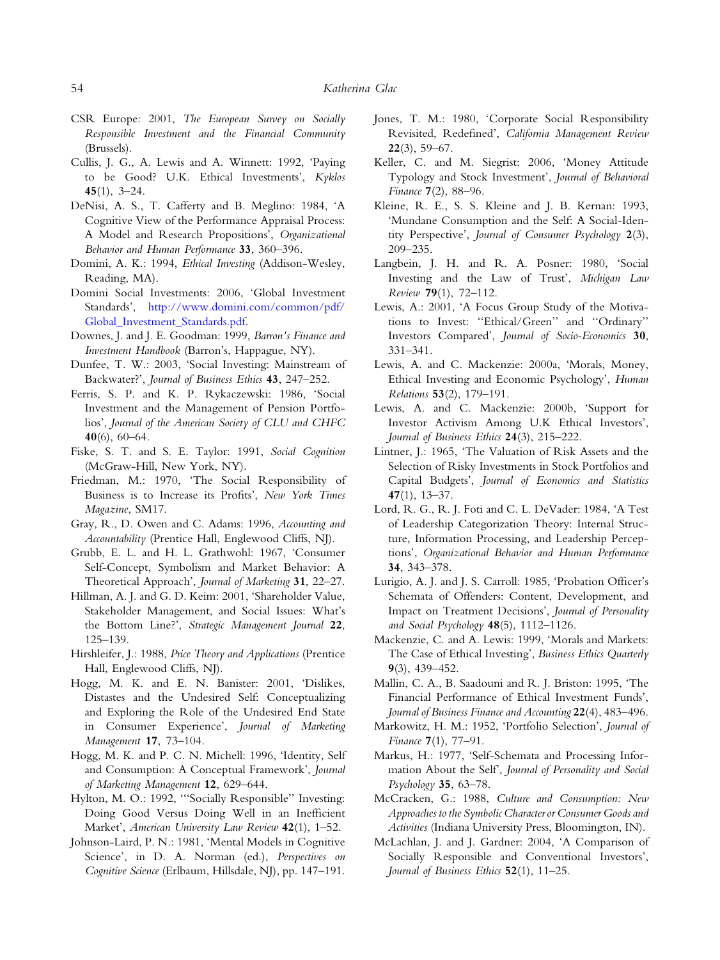- CSR Europe: 2001, The European Survey on Socially Responsible Investment and the Financial Community (Brussels).
- Cullis, J. G., A. Lewis and A. Winnett: 1992, 'Paying to be Good? U.K. Ethical Investments', Kyklos 45(1), 3–24.
- DeNisi, A. S., T. Cafferty and B. Meglino: 1984, 'A Cognitive View of the Performance Appraisal Process: A Model and Research Propositions', Organizational Behavior and Human Performance 33, 360–396.
- Domini, A. K.: 1994, Ethical Investing (Addison-Wesley, Reading, MA).
- Domini Social Investments: 2006, 'Global Investment Standards', [http://www.domini.com/common/pdf/](http://www.domini.com/common/pdf/Global_Investment_Standards.pdf) [Global\\_Investment\\_Standards.pdf.](http://www.domini.com/common/pdf/Global_Investment_Standards.pdf)
- Downes, J. and J. E. Goodman: 1999, Barron's Finance and Investment Handbook (Barron's, Happague, NY).
- Dunfee, T. W.: 2003, 'Social Investing: Mainstream of Backwater?', Journal of Business Ethics 43, 247–252.
- Ferris, S. P. and K. P. Rykaczewski: 1986, 'Social Investment and the Management of Pension Portfolios', Journal of the American Society of CLU and CHFC 40(6), 60–64.
- Fiske, S. T. and S. E. Taylor: 1991, Social Cognition (McGraw-Hill, New York, NY).
- Friedman, M.: 1970, 'The Social Responsibility of Business is to Increase its Profits', New York Times Magazine, SM17.
- Gray, R., D. Owen and C. Adams: 1996, Accounting and Accountability (Prentice Hall, Englewood Cliffs, NJ).
- Grubb, E. L. and H. L. Grathwohl: 1967, 'Consumer Self-Concept, Symbolism and Market Behavior: A Theoretical Approach', Journal of Marketing 31, 22–27.
- Hillman, A. J. and G. D. Keim: 2001, 'Shareholder Value, Stakeholder Management, and Social Issues: What's the Bottom Line?', Strategic Management Journal 22, 125–139.
- Hirshleifer, J.: 1988, Price Theory and Applications (Prentice Hall, Englewood Cliffs, NJ).
- Hogg, M. K. and E. N. Banister: 2001, 'Dislikes, Distastes and the Undesired Self: Conceptualizing and Exploring the Role of the Undesired End State in Consumer Experience', Journal of Marketing Management 17, 73–104.
- Hogg, M. K. and P. C. N. Michell: 1996, 'Identity, Self and Consumption: A Conceptual Framework', Journal of Marketing Management 12, 629–644.
- Hylton, M. O.: 1992, '''Socially Responsible'' Investing: Doing Good Versus Doing Well in an Inefficient Market', American University Law Review 42(1), 1–52.
- Johnson-Laird, P. N.: 1981, 'Mental Models in Cognitive Science', in D. A. Norman (ed.), Perspectives on Cognitive Science (Erlbaum, Hillsdale, NJ), pp. 147–191.
- Jones, T. M.: 1980, 'Corporate Social Responsibility Revisited, Redefined', California Management Review  $22(3)$ , 59–67.
- Keller, C. and M. Siegrist: 2006, 'Money Attitude Typology and Stock Investment', Journal of Behavioral Finance 7(2), 88–96.
- Kleine, R. E., S. S. Kleine and J. B. Kernan: 1993, 'Mundane Consumption and the Self: A Social-Identity Perspective', Journal of Consumer Psychology 2(3), 209–235.
- Langbein, J. H. and R. A. Posner: 1980, 'Social Investing and the Law of Trust', Michigan Law Review 79(1), 72–112.
- Lewis, A.: 2001, 'A Focus Group Study of the Motivations to Invest: ''Ethical/Green'' and ''Ordinary'' Investors Compared', Journal of Socio-Economics 30, 331–341.
- Lewis, A. and C. Mackenzie: 2000a, 'Morals, Money, Ethical Investing and Economic Psychology', Human Relations 53(2), 179–191.
- Lewis, A. and C. Mackenzie: 2000b, 'Support for Investor Activism Among U.K Ethical Investors', Journal of Business Ethics 24(3), 215–222.
- Lintner, J.: 1965, 'The Valuation of Risk Assets and the Selection of Risky Investments in Stock Portfolios and Capital Budgets', Journal of Economics and Statistics 47(1), 13–37.
- Lord, R. G., R. J. Foti and C. L. DeVader: 1984, 'A Test of Leadership Categorization Theory: Internal Structure, Information Processing, and Leadership Perceptions', Organizational Behavior and Human Performance 34, 343–378.
- Lurigio, A. J. and J. S. Carroll: 1985, 'Probation Officer's Schemata of Offenders: Content, Development, and Impact on Treatment Decisions', Journal of Personality and Social Psychology 48(5), 1112-1126.
- Mackenzie, C. and A. Lewis: 1999, 'Morals and Markets: The Case of Ethical Investing', Business Ethics Quarterly 9(3), 439–452.
- Mallin, C. A., B. Saadouni and R. J. Briston: 1995, 'The Financial Performance of Ethical Investment Funds', Journal of Business Finance and Accounting 22(4), 483–496.
- Markowitz, H. M.: 1952, 'Portfolio Selection', Journal of Finance 7(1), 77–91.
- Markus, H.: 1977, 'Self-Schemata and Processing Information About the Self', Journal of Personality and Social Psychology 35, 63–78.
- McCracken, G.: 1988, Culture and Consumption: New Approaches to the Symbolic Character or Consumer Goods and Activities (Indiana University Press, Bloomington, IN).
- McLachlan, J. and J. Gardner: 2004, 'A Comparison of Socially Responsible and Conventional Investors', Journal of Business Ethics 52(1), 11–25.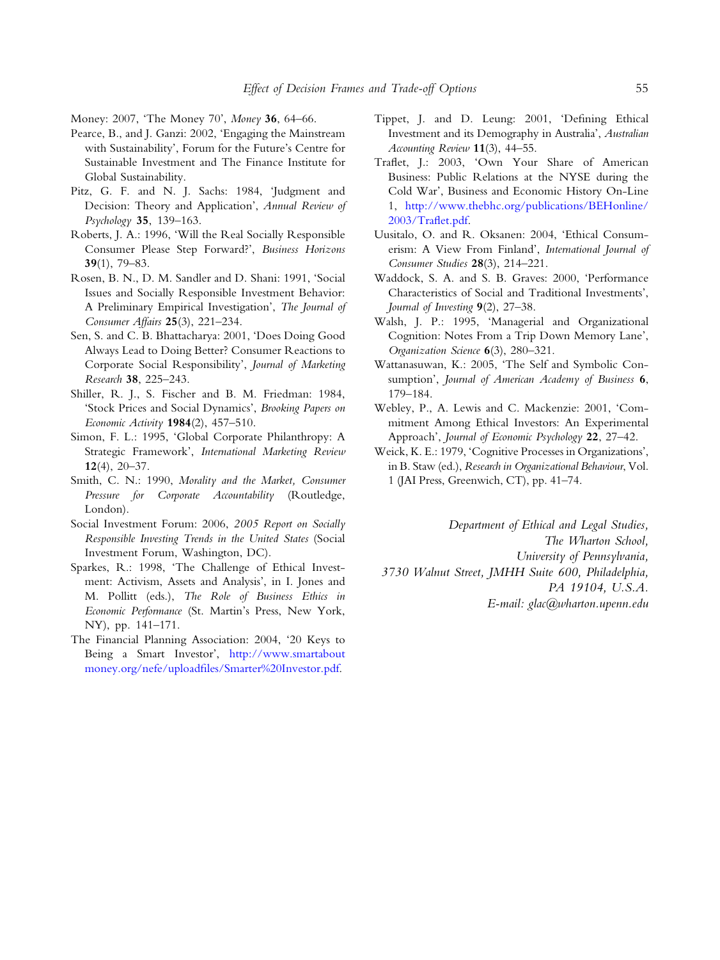Money: 2007, 'The Money 70', Money 36, 64–66.

- Pearce, B., and J. Ganzi: 2002, 'Engaging the Mainstream with Sustainability', Forum for the Future's Centre for Sustainable Investment and The Finance Institute for Global Sustainability.
- Pitz, G. F. and N. J. Sachs: 1984, 'Judgment and Decision: Theory and Application', Annual Review of Psychology 35, 139–163.
- Roberts, J. A.: 1996, 'Will the Real Socially Responsible Consumer Please Step Forward?', Business Horizons 39(1), 79–83.
- Rosen, B. N., D. M. Sandler and D. Shani: 1991, 'Social Issues and Socially Responsible Investment Behavior: A Preliminary Empirical Investigation', The Journal of Consumer Affairs 25(3), 221–234.
- Sen, S. and C. B. Bhattacharya: 2001, 'Does Doing Good Always Lead to Doing Better? Consumer Reactions to Corporate Social Responsibility', Journal of Marketing Research 38, 225–243.
- Shiller, R. J., S. Fischer and B. M. Friedman: 1984, 'Stock Prices and Social Dynamics', Brooking Papers on Economic Activity 1984(2), 457–510.
- Simon, F. L.: 1995, 'Global Corporate Philanthropy: A Strategic Framework', International Marketing Review  $12(4)$ ,  $20-37$ .
- Smith, C. N.: 1990, Morality and the Market, Consumer Pressure for Corporate Accountability (Routledge, London).
- Social Investment Forum: 2006, 2005 Report on Socially Responsible Investing Trends in the United States (Social Investment Forum, Washington, DC).
- Sparkes, R.: 1998, 'The Challenge of Ethical Investment: Activism, Assets and Analysis', in I. Jones and M. Pollitt (eds.), The Role of Business Ethics in Economic Performance (St. Martin's Press, New York, NY), pp. 141–171.
- The Financial Planning Association: 2004, '20 Keys to Being a Smart Investor', [http://www.smartabout](http://www.smartaboutmoney.org/nefe/uploadfiles/Smarter%20Investor.pdf) [money.org/nefe/uploadfiles/Smarter%20Investor.pdf.](http://www.smartaboutmoney.org/nefe/uploadfiles/Smarter%20Investor.pdf)
- Tippet, J. and D. Leung: 2001, 'Defining Ethical Investment and its Demography in Australia', Australian Accounting Review 11(3), 44-55.
- Traflet, J.: 2003, 'Own Your Share of American Business: Public Relations at the NYSE during the Cold War', Business and Economic History On-Line 1, [http://www.thebhc.org/publications/BEHonline/](http://www.thebhc.org/publications/BEHonline/2003/Traflet.pdf) [2003/Traflet.pdf](http://www.thebhc.org/publications/BEHonline/2003/Traflet.pdf).
- Uusitalo, O. and R. Oksanen: 2004, 'Ethical Consumerism: A View From Finland', International Journal of Consumer Studies 28(3), 214–221.
- Waddock, S. A. and S. B. Graves: 2000, 'Performance Characteristics of Social and Traditional Investments', Journal of Investing 9(2), 27–38.
- Walsh, J. P.: 1995, 'Managerial and Organizational Cognition: Notes From a Trip Down Memory Lane', Organization Science 6(3), 280–321.
- Wattanasuwan, K.: 2005, 'The Self and Symbolic Consumption', Journal of American Academy of Business 6, 179–184.
- Webley, P., A. Lewis and C. Mackenzie: 2001, 'Commitment Among Ethical Investors: An Experimental Approach', Journal of Economic Psychology 22, 27-42.
- Weick, K. E.: 1979, 'Cognitive Processes in Organizations', in B. Staw (ed.), Research in Organizational Behaviour, Vol. 1 (JAI Press, Greenwich, CT), pp. 41–74.

Department of Ethical and Legal Studies, The Wharton School, University of Pennsylvania, 3730 Walnut Street, JMHH Suite 600, Philadelphia, PA 19104, U.S.A. E-mail: glac@wharton.upenn.edu